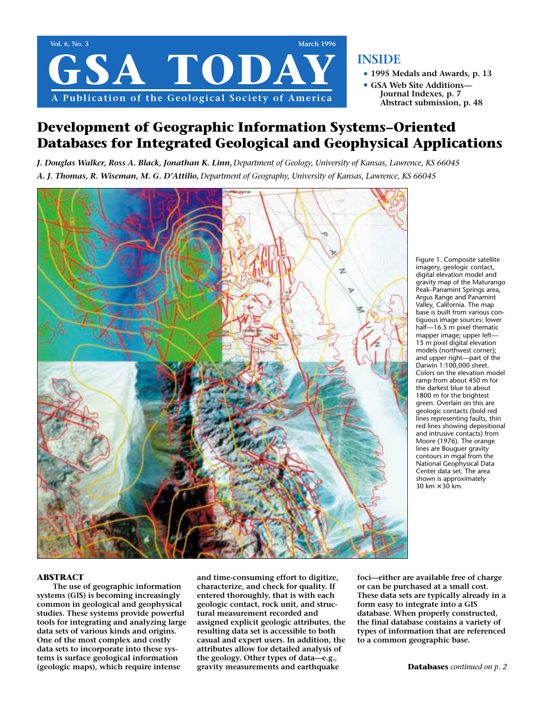

### **INSIDE**

- **• 1995 Medals and Awards, p. 13**
- **• GSA Web Site Additions— Journal Indexes, p. 7 Abstract submission, p. 48**

## **Development of Geographic Information Systems–Oriented Databases for Integrated Geological and Geophysical Applications**

*J. Douglas Walker, Ross A. Black, Jonathan K. Linn, Department of Geology, University of Kansas, Lawrence, KS 66045 A. J. Thomas, R. Wiseman, M. G. D'Attilio, Department of Geography, University of Kansas, Lawrence, KS 66045*



Figure 1. Composite satellite imagery, geologic contact, digital elevation model and gravity map of the Maturango Peak–Panamint Springs area, Argus Range and Panamint Valley, California. The map base is built from various contiguous image sources: lower half—16.5 m pixel thematic mapper image; upper left— 15 m pixel digital elevation models (northwest corner); and upper right—part of the Darwin 1:100,000 sheet. Colors on the elevation model ramp from about 450 m for the darkest blue to about 1800 m for the brightest green. Overlain on this are geologic contacts (bold red lines representing faults, thin red lines showing depositional and intrusive contacts) from Moore (1976). The orange lines are Bouguer gravity contours in mgal from the National Geophysical Data Center data set. The area shown is approximately 30 km  $\times$  30 km.

#### **ABSTRACT**

**The use of geographic information systems (GIS) is becoming increasingly common in geological and geophysical studies. These systems provide powerful tools for integrating and analyzing large data sets of various kinds and origins. One of the most complex and costly data sets to incorporate into these systems is surface geological information (geologic maps), which require intense**

**and time-consuming effort to digitize, characterize, and check for quality. If entered thoroughly, that is with each geologic contact, rock unit, and structural measurement recorded and assigned explicit geologic attributes, the resulting data set is accessible to both casual and expert users. In addition, the attributes allow for detailed analysis of the geology. Other types of data—e.g., gravity measurements and earthquake**

**foci—either are available free of charge or can be purchased at a small cost. These data sets are typically already in a form easy to integrate into a GIS database. When properly constructed, the final database contains a variety of types of information that are referenced to a common geographic base.**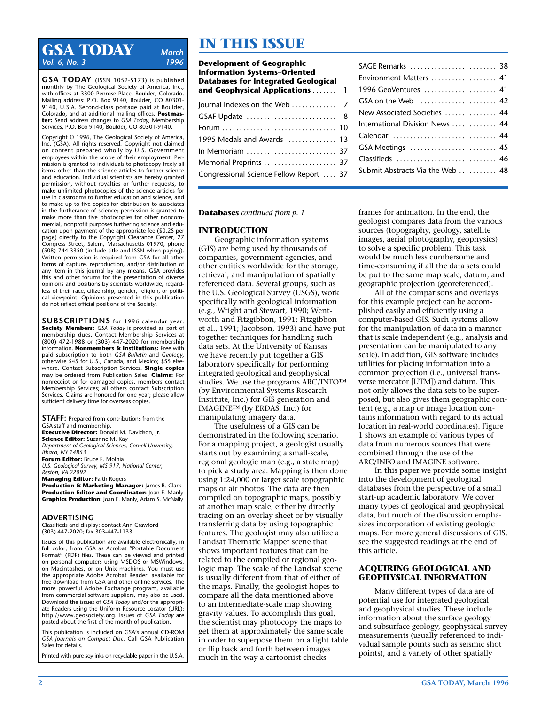## **GSA TODAY** *March Vol. 6, No. 3*

**GSA TODAY** (ISSN 1052-5173) is published monthly by The Geological Society of America, Inc., with offices at 3300 Penrose Place, Boulder, Colorado. Mailing address: P.O. Box 9140, Boulder, CO 80301- 9140, U.S.A. Second-class postage paid at Boulder, Colorado, and at additional mailing offices. **Postmaster:** Send address changes to *GSA Today,* Membership Services, P.O. Box 9140, Boulder, CO 80301-9140.

Copyright © 1996, The Geological Society of America, Inc. (GSA). All rights reserved. Copyright not claimed on content prepared wholly by U.S. Government employees within the scope of their employment. Permission is granted to individuals to photocopy freely all items other than the science articles to further science and education. Individual scientists are hereby granted permission, without royalties or further requests, to make unlimited photocopies of the science articles for use in classrooms to further education and science, and to make up to five copies for distribution to associates in the furtherance of science; permission is granted to make more than five photocopies for other noncommercial, nonprofit purposes furthering science and education upon payment of the appropriate fee (\$0.25 per page) directly to the Copyright Clearance Center, 27 Congress Street, Salem, Massachusetts 01970, phone (508) 744-3350 (include title and ISSN when paying). Written permission is required from GSA for all other forms of capture, reproduction, and/or distribution of any item in this journal by any means. GSA provides this and other forums for the presentation of diverse opinions and positions by scientists worldwide, regardless of their race, citizenship, gender, religion, or political viewpoint. Opinions presented in this publication do not reflect official positions of the Society.

**SUBSCRIPTIONS** for 1996 calendar year: **Society Members:** *GSA Today* is provided as part of membership dues. Contact Membership Services at (800) 472-1988 or (303) 447-2020 for membership information. **Nonmembers & Institutions:** Free with paid subscription to both *GSA Bulletin* and *Geology,* otherwise \$45 for U.S., Canada, and Mexico; \$55 elsewhere. Contact Subscription Services. **Single copies** may be ordered from Publication Sales. **Claims:** For nonreceipt or for damaged copies, members contact Membership Services; all others contact Subscription Services. Claims are honored for one year; please allow sufficient delivery time for overseas copies.

**STAFF:** Prepared from contributions from the GSA staff and membership. **Executive Director:** Donald M. Davidson, Jr. **Science Editor:** Suzanne M. Kay *Department of Geological Sciences, Cornell University, Ithaca, NY 14853* **Forum Editor:** Bruce F. Molnia *U.S. Geological Survey, MS 917, National Center, Reston, VA 22092*

**Managing Editor:** Faith Rogers **Production & Marketing Manager:** James R. Clark **Production Editor and Coordinator:** Joan E. Manly **Graphics Production:** Joan E. Manly, Adam S. McNally

#### **ADVERTISING**

Classifieds and display: contact Ann Crawford (303) 447-2020; fax 303-447-1133

Issues of this publication are available electronically, in full color, from GSA as Acrobat "Portable Document Format" (PDF) files. These can be viewed and printed on personal computers using MSDOS or MSWindows, on Macintoshes, or on Unix machines. You must use the appropriate Adobe Acrobat Reader, available for free download from GSA and other online services. The more powerful Adobe Exchange program, available from commercial software suppliers, may also be used. Download the issues of *GSA Today* and/or the appropriate Readers using the Uniform Resource Locator (URL): http://www.geosociety.org. Issues of *GSA Today* are posted about the first of the month of publication.

This publication is included on GSA's annual CD-ROM *GSA Journals on Compact Disc.* Call GSA Publication Sales for details.

Printed with pure soy inks on recyclable paper in the U.S.A.

# **IN THIS ISSUE**

| <b>Development of Geographic</b><br><b>Information Systems-Oriented</b><br><b>Databases for Integrated Geological</b><br>and Geophysical Applications  1 |  |
|----------------------------------------------------------------------------------------------------------------------------------------------------------|--|
| Journal Indexes on the Web  7                                                                                                                            |  |
|                                                                                                                                                          |  |
|                                                                                                                                                          |  |
| 1995 Medals and Awards  13                                                                                                                               |  |
| In Memoriam  37                                                                                                                                          |  |
| Memorial Preprints  37                                                                                                                                   |  |
| Congressional Science Fellow Report  37                                                                                                                  |  |
|                                                                                                                                                          |  |

| SAGE Remarks  38                                   |  |
|----------------------------------------------------|--|
| Environment Matters  41                            |  |
| 1996 GeoVentures  41                               |  |
| GSA on the Web $\dots\dots\dots\dots\dots\dots$ 42 |  |
| New Associated Societies  44                       |  |
| International Division News  44                    |  |
| Calendar  44                                       |  |
| GSA Meetings  45                                   |  |
| Classifieds  46                                    |  |
| Submit Abstracts Via the Web  48                   |  |
|                                                    |  |

**Databases** *continued from p. 1*

#### **INTRODUCTION**

Geographic information systems (GIS) are being used by thousands of companies, government agencies, and other entities worldwide for the storage, retrieval, and manipulation of spatially referenced data. Several groups, such as the U.S. Geological Survey (USGS), work specifically with geological information (e.g., Wright and Stewart, 1990; Wentworth and Fitzgibbon, 1991; Fitzgibbon et al., 1991; Jacobson, 1993) and have put together techniques for handling such data sets. At the University of Kansas we have recently put together a GIS laboratory specifically for performing integrated geological and geophysical studies. We use the programs ARC/INFO™ (by Environmental Systems Research Institute, Inc.) for GIS generation and IMAGINE™ (by ERDAS, Inc.) for manipulating imagery data.

The usefulness of a GIS can be demonstrated in the following scenario. For a mapping project, a geologist usually starts out by examining a small-scale, regional geologic map (e.g., a state map) to pick a study area. Mapping is then done using 1:24,000 or larger scale topographic maps or air photos. The data are then compiled on topographic maps, possibly at another map scale, either by directly tracing on an overlay sheet or by visually transferring data by using topographic features. The geologist may also utilize a Landsat Thematic Mapper scene that shows important features that can be related to the compiled or regional geologic map. The scale of the Landsat scene is usually different from that of either of the maps. Finally, the geologist hopes to compare all the data mentioned above to an intermediate-scale map showing gravity values. To accomplish this goal, the scientist may photocopy the maps to get them at approximately the same scale in order to superpose them on a light table or flip back and forth between images much in the way a cartoonist checks

frames for animation. In the end, the geologist compares data from the various sources (topography, geology, satellite images, aerial photography, geophysics) to solve a specific problem. This task would be much less cumbersome and time-consuming if all the data sets could be put to the same map scale, datum, and geographic projection (georeferenced).

All of the comparisons and overlays for this example project can be accomplished easily and efficiently using a computer-based GIS. Such systems allow for the manipulation of data in a manner that is scale independent (e.g., analysis and presentation can be manipulated to any scale). In addition, GIS software includes utilities for placing information into a common projection (i.e., universal transverse mercator [UTM]) and datum. This not only allows the data sets to be superposed, but also gives them geographic content (e.g., a map or image location contains information with regard to its actual location in real-world coordinates). Figure 1 shows an example of various types of data from numerous sources that were combined through the use of the ARC/INFO and IMAGINE software.

In this paper we provide some insight into the development of geological databases from the perspective of a small start-up academic laboratory. We cover many types of geological and geophysical data, but much of the discussion emphasizes incorporation of existing geologic maps. For more general discussions of GIS, see the suggested readings at the end of this article.

#### **ACQUIRING GEOLOGICAL AND GEOPHYSICAL INFORMATION**

Many different types of data are of potential use for integrated geological and geophysical studies. These include information about the surface geology and subsurface geology, geophysical survey measurements (usually referenced to individual sample points such as seismic shot points), and a variety of other spatially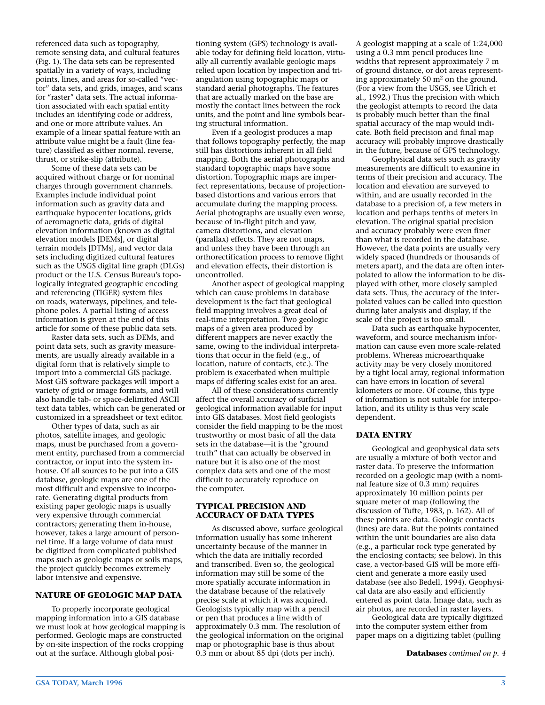referenced data such as topography, remote sensing data, and cultural features (Fig. 1). The data sets can be represented spatially in a variety of ways, including points, lines, and areas for so-called "vector" data sets, and grids, images, and scans for "raster" data sets. The actual information associated with each spatial entity includes an identifying code or address, and one or more attribute values. An example of a linear spatial feature with an attribute value might be a fault (line feature) classified as either normal, reverse, thrust, or strike-slip (attribute).

Some of these data sets can be acquired without charge or for nominal charges through government channels. Examples include individual point information such as gravity data and earthquake hypocenter locations, grids of aeromagnetic data, grids of digital elevation information (known as digital elevation models [DEMs], or digital terrain models [DTMs], and vector data sets including digitized cultural features such as the USGS digital line graph (DLGs) product or the U.S. Census Bureau's topologically integrated geographic encoding and referencing (TIGER) system files on roads, waterways, pipelines, and telephone poles. A partial listing of access information is given at the end of this article for some of these public data sets.

Raster data sets, such as DEMs, and point data sets, such as gravity measurements, are usually already available in a digital form that is relatively simple to import into a commercial GIS package. Most GIS software packages will import a variety of grid or image formats, and will also handle tab- or space-delimited ASCII text data tables, which can be generated or customized in a spreadsheet or text editor.

Other types of data, such as air photos, satellite images, and geologic maps, must be purchased from a government entity, purchased from a commercial contractor, or input into the system inhouse. Of all sources to be put into a GIS database, geologic maps are one of the most difficult and expensive to incorporate. Generating digital products from existing paper geologic maps is usually very expensive through commercial contractors; generating them in-house, however, takes a large amount of personnel time. If a large volume of data must be digitized from complicated published maps such as geologic maps or soils maps, the project quickly becomes extremely labor intensive and expensive.

#### **NATURE OF GEOLOGIC MAP DATA**

To properly incorporate geological mapping information into a GIS database we must look at how geological mapping is performed. Geologic maps are constructed by on-site inspection of the rocks cropping out at the surface. Although global positioning system (GPS) technology is available today for defining field location, virtually all currently available geologic maps relied upon location by inspection and triangulation using topographic maps or standard aerial photographs. The features that are actually marked on the base are mostly the contact lines between the rock units, and the point and line symbols bearing structural information.

Even if a geologist produces a map that follows topography perfectly, the map still has distortions inherent in all field mapping. Both the aerial photographs and standard topographic maps have some distortion. Topographic maps are imperfect representations, because of projectionbased distortions and various errors that accumulate during the mapping process. Aerial photographs are usually even worse, because of in-flight pitch and yaw, camera distortions, and elevation (parallax) effects. They are not maps, and unless they have been through an orthorectification process to remove flight and elevation effects, their distortion is uncontrolled.

Another aspect of geological mapping which can cause problems in database development is the fact that geological field mapping involves a great deal of real-time interpretation. Two geologic maps of a given area produced by different mappers are never exactly the same, owing to the individual interpretations that occur in the field (e.g., of location, nature of contacts, etc.). The problem is exacerbated when multiple maps of differing scales exist for an area.

All of these considerations currently affect the overall accuracy of surficial geological information available for input into GIS databases. Most field geologists consider the field mapping to be the most trustworthy or most basic of all the data sets in the database—it is the "ground truth" that can actually be observed in nature but it is also one of the most complex data sets and one of the most difficult to accurately reproduce on the computer.

#### **TYPICAL PRECISION AND ACCURACY OF DATA TYPES**

As discussed above, surface geological information usually has some inherent uncertainty because of the manner in which the data are initially recorded and transcribed. Even so, the geological information may still be some of the more spatially accurate information in the database because of the relatively precise scale at which it was acquired. Geologists typically map with a pencil or pen that produces a line width of approximately 0.3 mm. The resolution of the geological information on the original map or photographic base is thus about 0.3 mm or about 85 dpi (dots per inch).

A geologist mapping at a scale of 1:24,000 using a 0.3 mm pencil produces line widths that represent approximately 7 m of ground distance, or dot areas representing approximately 50 m2 on the ground. (For a view from the USGS, see Ulrich et al., 1992.) Thus the precision with which the geologist attempts to record the data is probably much better than the final spatial accuracy of the map would indicate. Both field precision and final map accuracy will probably improve drastically in the future, because of GPS technology.

Geophysical data sets such as gravity measurements are difficult to examine in terms of their precision and accuracy. The location and elevation are surveyed to within, and are usually recorded in the database to a precision of, a few meters in location and perhaps tenths of meters in elevation. The original spatial precision and accuracy probably were even finer than what is recorded in the database. However, the data points are usually very widely spaced (hundreds or thousands of meters apart), and the data are often interpolated to allow the information to be displayed with other, more closely sampled data sets. Thus, the accuracy of the interpolated values can be called into question during later analysis and display, if the scale of the project is too small.

Data such as earthquake hypocenter, waveform, and source mechanism information can cause even more scale-related problems. Whereas microearthquake activity may be very closely monitored by a tight local array, regional information can have errors in location of several kilometers or more. Of course, this type of information is not suitable for interpolation, and its utility is thus very scale dependent.

#### **DATA ENTRY**

Geological and geophysical data sets are usually a mixture of both vector and raster data. To preserve the information recorded on a geologic map (with a nominal feature size of 0.3 mm) requires approximately 10 million points per square meter of map (following the discussion of Tufte, 1983, p. 162). All of these points are data. Geologic contacts (lines) are data. But the points contained within the unit boundaries are also data (e.g., a particular rock type generated by the enclosing contacts; see below). In this case, a vector-based GIS will be more efficient and generate a more easily used database (see also Bedell, 1994). Geophysical data are also easily and efficiently entered as point data. Image data, such as air photos, are recorded in raster layers.

Geological data are typically digitized into the computer system either from paper maps on a digitizing tablet (pulling

**Databases** *continued on p. 4*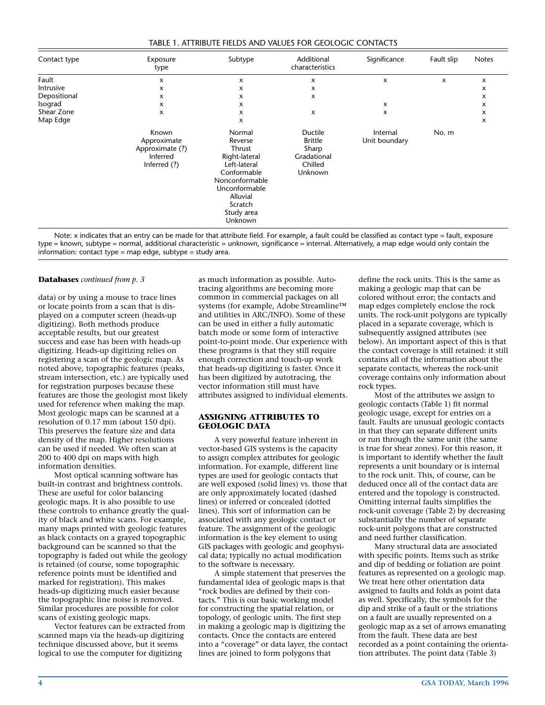| TABLE 1. ATTRIBUTE FIELDS AND VALUES FOR GEOLOGIC CONTACTS |  |
|------------------------------------------------------------|--|
|------------------------------------------------------------|--|

| Contact type | Exposure<br>type                                                    | Subtype                                                                                                                                                        | Additional<br>characteristics                                           | Significance              | Fault slip | <b>Notes</b>              |
|--------------|---------------------------------------------------------------------|----------------------------------------------------------------------------------------------------------------------------------------------------------------|-------------------------------------------------------------------------|---------------------------|------------|---------------------------|
| Fault        | x                                                                   | x                                                                                                                                                              | x                                                                       | x                         | x          | $\boldsymbol{\mathsf{x}}$ |
| Intrusive    | x                                                                   | x                                                                                                                                                              | x                                                                       |                           |            | $\boldsymbol{\mathsf{x}}$ |
| Depositional | x                                                                   | x                                                                                                                                                              | x                                                                       |                           |            | x                         |
| Isograd      | x                                                                   | x                                                                                                                                                              |                                                                         | x                         |            | $\boldsymbol{\mathsf{x}}$ |
| Shear Zone   | x                                                                   | x                                                                                                                                                              | x                                                                       | x                         |            | x                         |
| Map Edge     |                                                                     | x                                                                                                                                                              |                                                                         |                           |            | x                         |
|              | Known<br>Approximate<br>Approximate (?)<br>Inferred<br>Inferred (?) | Normal<br>Reverse<br>Thrust<br>Right-lateral<br>Left-lateral<br>Conformable<br>Nonconformable<br>Unconformable<br>Alluvial<br>Scratch<br>Study area<br>Unknown | Ductile<br><b>Brittle</b><br>Sharp<br>Gradational<br>Chilled<br>Unknown | Internal<br>Unit boundary | No. m      |                           |

Note: x indicates that an entry can be made for that attribute field. For example, a fault could be classified as contact type = fault, exposure type = known, subtype = normal, additional characteristic = unknown, significance = internal. Alternatively, a map edge would only contain the information: contact type = map edge, subtype = study area.

#### **Databases** *continued from p. 3*

data) or by using a mouse to trace lines or locate points from a scan that is displayed on a computer screen (heads-up digitizing). Both methods produce acceptable results, but our greatest success and ease has been with heads-up digitizing. Heads-up digitizing relies on registering a scan of the geologic map. As noted above, topographic features (peaks, stream intersection, etc.) are typically used for registration purposes because these features are those the geologist most likely used for reference when making the map. Most geologic maps can be scanned at a resolution of 0.17 mm (about 150 dpi). This preserves the feature size and data density of the map. Higher resolutions can be used if needed. We often scan at 200 to 400 dpi on maps with high information densities.

Most optical scanning software has built-in contrast and brightness controls. These are useful for color balancing geologic maps. It is also possible to use these controls to enhance greatly the quality of black and white scans. For example, many maps printed with geologic features as black contacts on a grayed topographic background can be scanned so that the topography is faded out while the geology is retained (of course, some topographic reference points must be identified and marked for registration). This makes heads-up digitizing much easier because the topographic line noise is removed. Similar procedures are possible for color scans of existing geologic maps.

Vector features can be extracted from scanned maps via the heads-up digitizing technique discussed above, but it seems logical to use the computer for digitizing

as much information as possible. Autotracing algorithms are becoming more common in commercial packages on all systems (for example, Adobe Streamline™ and utilities in ARC/INFO). Some of these can be used in either a fully automatic batch mode or some form of interactive point-to-point mode. Our experience with these programs is that they still require enough correction and touch-up work that heads-up digitizing is faster. Once it has been digitized by autotracing, the vector information still must have attributes assigned to individual elements.

#### **ASSIGNING ATTRIBUTES TO GEOLOGIC DATA**

A very powerful feature inherent in vector-based GIS systems is the capacity to assign complex attributes for geologic information. For example, different line types are used for geologic contacts that are well exposed (solid lines) vs. those that are only approximately located (dashed lines) or inferred or concealed (dotted lines). This sort of information can be associated with any geologic contact or feature. The assignment of the geologic information is the key element to using GIS packages with geologic and geophysical data; typically no actual modification to the software is necessary.

A simple statement that preserves the fundamental idea of geologic maps is that "rock bodies are defined by their contacts." This is our basic working model for constructing the spatial relation, or topology, of geologic units. The first step in making a geologic map is digitizing the contacts. Once the contacts are entered into a "coverage" or data layer, the contact lines are joined to form polygons that

define the rock units. This is the same as making a geologic map that can be colored without error; the contacts and map edges completely enclose the rock units. The rock-unit polygons are typically placed in a separate coverage, which is subsequently assigned attributes (see below). An important aspect of this is that the contact coverage is still retained: it still contains all of the information about the separate contacts, whereas the rock-unit coverage contains only information about rock types.

Most of the attributes we assign to geologic contacts (Table 1) fit normal geologic usage, except for entries on a fault. Faults are unusual geologic contacts in that they can separate different units or run through the same unit (the same is true for shear zones). For this reason, it is important to identify whether the fault represents a unit boundary or is internal to the rock unit. This, of course, can be deduced once all of the contact data are entered and the topology is constructed. Omitting internal faults simplifies the rock-unit coverage (Table 2) by decreasing substantially the number of separate rock-unit polygons that are constructed and need further classification.

Many structural data are associated with specific points. Items such as strike and dip of bedding or foliation are point features as represented on a geologic map. We treat here other orientation data assigned to faults and folds as point data as well. Specifically, the symbols for the dip and strike of a fault or the striations on a fault are usually represented on a geologic map as a set of arrows emanating from the fault. These data are best recorded as a point containing the orientation attributes. The point data (Table 3)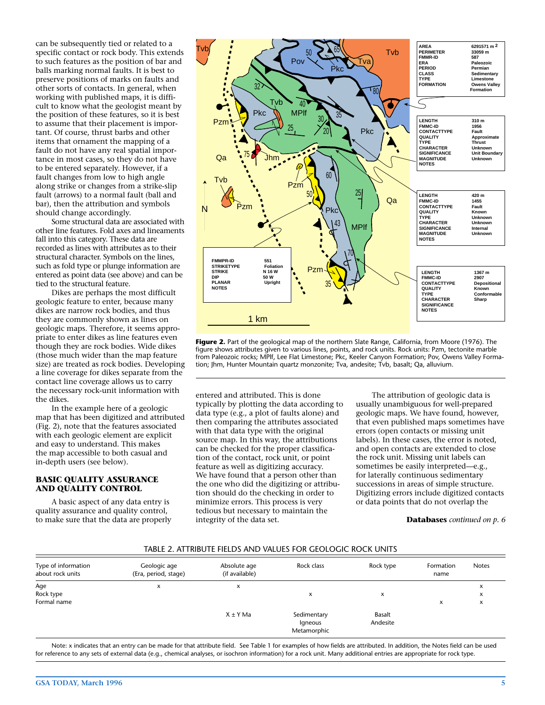can be subsequently tied or related to a specific contact or rock body. This extends to such features as the position of bar and balls marking normal faults. It is best to preserve positions of marks on faults and other sorts of contacts. In general, when working with published maps, it is difficult to know what the geologist meant by the position of these features, so it is best to assume that their placement is important. Of course, thrust barbs and other items that ornament the mapping of a fault do not have any real spatial importance in most cases, so they do not have to be entered separately. However, if a fault changes from low to high angle along strike or changes from a strike-slip fault (arrows) to a normal fault (ball and bar), then the attribution and symbols should change accordingly.

Some structural data are associated with other line features. Fold axes and lineaments fall into this category. These data are recorded as lines with attributes as to their structural character. Symbols on the lines, such as fold type or plunge information are entered as point data (see above) and can be tied to the structural feature.

Dikes are perhaps the most difficult geologic feature to enter, because many dikes are narrow rock bodies, and thus they are commonly shown as lines on geologic maps. Therefore, it seems appropriate to enter dikes as line features even though they are rock bodies. Wide dikes (those much wider than the map feature size) are treated as rock bodies. Developing a line coverage for dikes separate from the contact line coverage allows us to carry the necessary rock-unit information with the dikes.

In the example here of a geologic map that has been digitized and attributed (Fig. 2), note that the features associated with each geologic element are explicit and easy to understand. This makes the map accessible to both casual and in-depth users (see below).

#### **BASIC QUALITY ASSURANCE AND QUALITY CONTROL**

A basic aspect of any data entry is quality assurance and quality control, to make sure that the data are properly



**Figure 2.** Part of the geological map of the northern Slate Range, California, from Moore (1976). The figure shows attributes given to various lines, points, and rock units. Rock units: Pzm, tectonite marble from Paleozoic rocks; MPlf, Lee Flat Limestone; Pkc, Keeler Canyon Formation; Pov, Owens Valley Formation; Jhm, Hunter Mountain quartz monzonite; Tva, andesite; Tvb, basalt; Qa, alluvium.

entered and attributed. This is done typically by plotting the data according to data type (e.g., a plot of faults alone) and then comparing the attributes associated with that data type with the original source map. In this way, the attributions can be checked for the proper classification of the contact, rock unit, or point feature as well as digitizing accuracy. We have found that a person other than the one who did the digitizing or attribution should do the checking in order to minimize errors. This process is very tedious but necessary to maintain the integrity of the data set.

The attribution of geologic data is usually unambiguous for well-prepared geologic maps. We have found, however, that even published maps sometimes have errors (open contacts or missing unit labels). In these cases, the error is noted, and open contacts are extended to close the rock unit. Missing unit labels can sometimes be easily interpreted—e.g., for laterally continuous sedimentary successions in areas of simple structure. Digitizing errors include digitized contacts or data points that do not overlap the

#### **Databases** *continued on p. 6*

#### TABLE 2. ATTRIBUTE FIELDS AND VALUES FOR GEOLOGIC ROCK UNITS

| Type of information<br>about rock units | Geologic age<br>(Era, period, stage) | Absolute age<br>(if available) | Rock class                            | Rock type          | Formation<br>name         | <b>Notes</b> |
|-----------------------------------------|--------------------------------------|--------------------------------|---------------------------------------|--------------------|---------------------------|--------------|
| Age<br>Rock type<br>Formal name         | x                                    | x                              | x                                     | x                  | $\boldsymbol{\mathsf{x}}$ | x<br>x<br>x  |
|                                         |                                      | $X \pm Y$ Ma                   | Sedimentary<br>Igneous<br>Metamorphic | Basalt<br>Andesite |                           |              |

Note: x indicates that an entry can be made for that attribute field. See Table 1 for examples of how fields are attributed. In addition, the Notes field can be used for reference to any sets of external data (e.g., chemical analyses, or isochron information) for a rock unit. Many additional entries are appropriate for rock type.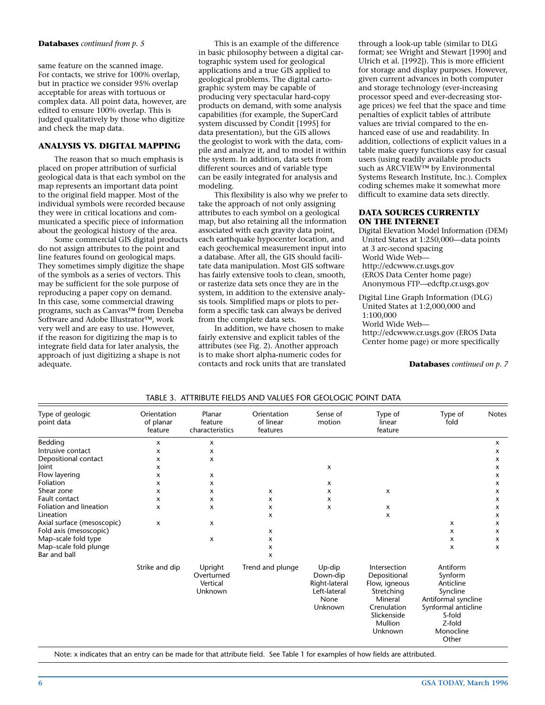#### **Databases** *continued from p. 5*

same feature on the scanned image. For contacts, we strive for 100% overlap, but in practice we consider 95% overlap acceptable for areas with tortuous or complex data. All point data, however, are edited to ensure 100% overlap. This is judged qualitatively by those who digitize and check the map data.

#### **ANALYSIS VS. DIGITAL MAPPING**

The reason that so much emphasis is placed on proper attribution of surficial geological data is that each symbol on the map represents an important data point to the original field mapper. Most of the individual symbols were recorded because they were in critical locations and communicated a specific piece of information about the geological history of the area.

Some commercial GIS digital products do not assign attributes to the point and line features found on geological maps. They sometimes simply digitize the shape of the symbols as a series of vectors. This may be sufficient for the sole purpose of reproducing a paper copy on demand. In this case, some commercial drawing programs, such as Canvas™ from Deneba Software and Adobe Illustrator™, work very well and are easy to use. However, if the reason for digitizing the map is to integrate field data for later analysis, the approach of just digitizing a shape is not adequate.

This is an example of the difference in basic philosophy between a digital cartographic system used for geological applications and a true GIS applied to geological problems. The digital cartographic system may be capable of producing very spectacular hard-copy products on demand, with some analysis capabilities (for example, the SuperCard system discussed by Condit [1995] for data presentation), but the GIS allows the geologist to work with the data, compile and analyze it, and to model it within the system. In addition, data sets from different sources and of variable type can be easily integrated for analysis and modeling.

This flexibility is also why we prefer to take the approach of not only assigning attributes to each symbol on a geological map, but also retaining all the information associated with each gravity data point, each earthquake hypocenter location, and each geochemical measurement input into a database. After all, the GIS should facilitate data manipulation. Most GIS software has fairly extensive tools to clean, smooth, or rasterize data sets once they are in the system, in addition to the extensive analysis tools. Simplified maps or plots to perform a specific task can always be derived from the complete data sets.

In addition, we have chosen to make fairly extensive and explicit tables of the attributes (see Fig. 2). Another approach is to make short alpha-numeric codes for contacts and rock units that are translated through a look-up table (similar to DLG format; see Wright and Stewart [1990] and Ulrich et al. [1992]). This is more efficient for storage and display purposes. However, given current advances in both computer and storage technology (ever-increasing processor speed and ever-decreasing storage prices) we feel that the space and time penalties of explicit tables of attribute values are trivial compared to the enhanced ease of use and readability. In addition, collections of explicit values in a table make query functions easy for casual users (using readily available products such as ARCVIEW™ by Environmental Systems Research Institute, Inc.). Complex coding schemes make it somewhat more difficult to examine data sets directly.

#### **DATA SOURCES CURRENTLY ON THE INTERNET**

Digital Elevation Model Information (DEM) United States at 1:250,000—data points at 3 arc-second spacing World Wide Web http://edcwww.cr.usgs.gov (EROS Data Center home page) Anonymous FTP—edcftp.cr.usgs.gov

Digital Line Graph Information (DLG) United States at 1:2,000,000 and 1:100,000 World Wide Web http://edcwww.cr.usgs.gov (EROS Data Center home page) or more specifically

**Databases** *continued on p. 7*

| Type of geologic<br>point data | Orientation<br>of planar<br>feature | Planar<br>feature<br>characteristics         | Orientation<br>of linear<br>features | Sense of<br>motion                                                     | Type of<br>linear<br>feature                                                                                               | Type of<br>fold                                                                                                                      | <b>Notes</b> |
|--------------------------------|-------------------------------------|----------------------------------------------|--------------------------------------|------------------------------------------------------------------------|----------------------------------------------------------------------------------------------------------------------------|--------------------------------------------------------------------------------------------------------------------------------------|--------------|
| Bedding                        | x                                   | x                                            |                                      |                                                                        |                                                                                                                            |                                                                                                                                      | x            |
| Intrusive contact              | x                                   | x                                            |                                      |                                                                        |                                                                                                                            |                                                                                                                                      | x            |
| Depositional contact           | x                                   | x                                            |                                      |                                                                        |                                                                                                                            |                                                                                                                                      | x            |
| Joint                          | x                                   |                                              |                                      | x                                                                      |                                                                                                                            |                                                                                                                                      | x            |
| Flow layering                  | x                                   | х                                            |                                      |                                                                        |                                                                                                                            |                                                                                                                                      | x            |
| Foliation                      | x                                   | x                                            |                                      | x                                                                      |                                                                                                                            |                                                                                                                                      | x            |
| Shear zone                     | x                                   | x                                            | x                                    | x                                                                      | x                                                                                                                          |                                                                                                                                      | x            |
| Fault contact                  | x                                   | $\boldsymbol{\mathsf{x}}$                    | x                                    | x                                                                      |                                                                                                                            |                                                                                                                                      | x            |
| Foliation and lineation        | x                                   | $\boldsymbol{\mathsf{x}}$                    | x                                    | x                                                                      | х                                                                                                                          |                                                                                                                                      | x            |
| Lineation                      |                                     |                                              | x                                    |                                                                        | X                                                                                                                          |                                                                                                                                      | x            |
| Axial surface (mesoscopic)     | x                                   | X                                            |                                      |                                                                        |                                                                                                                            | x                                                                                                                                    | x            |
| Fold axis (mesoscopic)         |                                     |                                              | x                                    |                                                                        |                                                                                                                            | x                                                                                                                                    | x            |
| Map-scale fold type            |                                     | X                                            | x                                    |                                                                        |                                                                                                                            | x                                                                                                                                    | x            |
| Map-scale fold plunge          |                                     |                                              | x                                    |                                                                        |                                                                                                                            | x                                                                                                                                    | x            |
| Bar and ball                   |                                     |                                              | x                                    |                                                                        |                                                                                                                            |                                                                                                                                      |              |
|                                | Strike and dip                      | Upright<br>Overturned<br>Vertical<br>Unknown | Trend and plunge                     | Up-dip<br>Down-dip<br>Right-lateral<br>Left-lateral<br>None<br>Unknown | Intersection<br>Depositional<br>Flow, igneous<br>Stretching<br>Mineral<br>Crenulation<br>Slickenside<br>Mullion<br>Unknown | Antiform<br>Synform<br>Anticline<br>Syncline<br>Antiformal syncline<br>Synformal anticline<br>S-fold<br>Z-fold<br>Monocline<br>Other |              |

TABLE 3. ATTRIBUTE FIELDS AND VALUES FOR GEOLOGIC POINT DATA

Note: x indicates that an entry can be made for that attribute field. See Table 1 for examples of how fields are attributed.